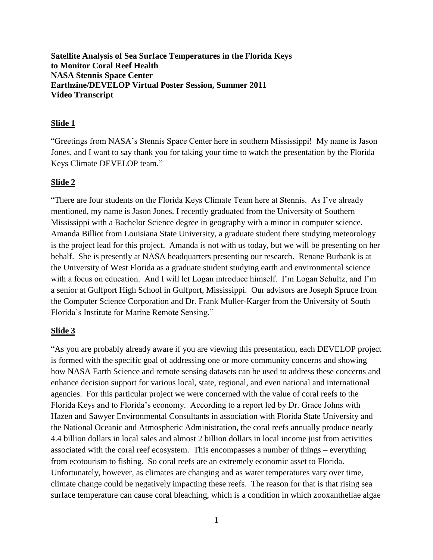**Satellite Analysis of Sea Surface Temperatures in the Florida Keys to Monitor Coral Reef Health NASA Stennis Space Center Earthzine/DEVELOP Virtual Poster Session, Summer 2011 Video Transcript**

#### **Slide 1**

"Greetings from NASA's Stennis Space Center here in southern Mississippi! My name is Jason Jones, and I want to say thank you for taking your time to watch the presentation by the Florida Keys Climate DEVELOP team."

#### **Slide 2**

"There are four students on the Florida Keys Climate Team here at Stennis. As I've already mentioned, my name is Jason Jones. I recently graduated from the University of Southern Mississippi with a Bachelor Science degree in geography with a minor in computer science. Amanda Billiot from Louisiana State University, a graduate student there studying meteorology is the project lead for this project. Amanda is not with us today, but we will be presenting on her behalf. She is presently at NASA headquarters presenting our research. Renane Burbank is at the University of West Florida as a graduate student studying earth and environmental science with a focus on education. And I will let Logan introduce himself. I'm Logan Schultz, and I'm a senior at Gulfport High School in Gulfport, Mississippi. Our advisors are Joseph Spruce from the Computer Science Corporation and Dr. Frank Muller-Karger from the University of South Florida's Institute for Marine Remote Sensing."

#### **Slide 3**

"As you are probably already aware if you are viewing this presentation, each DEVELOP project is formed with the specific goal of addressing one or more community concerns and showing how NASA Earth Science and remote sensing datasets can be used to address these concerns and enhance decision support for various local, state, regional, and even national and international agencies. For this particular project we were concerned with the value of coral reefs to the Florida Keys and to Florida's economy. According to a report led by Dr. Grace Johns with Hazen and Sawyer Environmental Consultants in association with Florida State University and the National Oceanic and Atmospheric Administration, the coral reefs annually produce nearly 4.4 billion dollars in local sales and almost 2 billion dollars in local income just from activities associated with the coral reef ecosystem. This encompasses a number of things – everything from ecotourism to fishing. So coral reefs are an extremely economic asset to Florida. Unfortunately, however, as climates are changing and as water temperatures vary over time, climate change could be negatively impacting these reefs. The reason for that is that rising sea surface temperature can cause coral bleaching, which is a condition in which zooxanthellae algae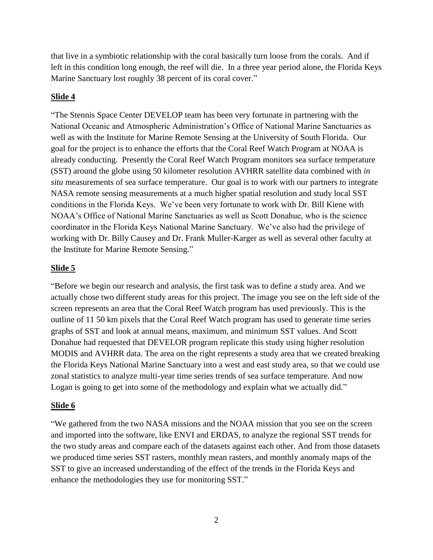that live in a symbiotic relationship with the coral basically turn loose from the corals. And if left in this condition long enough, the reef will die. In a three year period alone, the Florida Keys Marine Sanctuary lost roughly 38 percent of its coral cover."

### **Slide 4**

"The Stennis Space Center DEVELOP team has been very fortunate in partnering with the National Oceanic and Atmospheric Administration's Office of National Marine Sanctuaries as well as with the Institute for Marine Remote Sensing at the University of South Florida. Our goal for the project is to enhance the efforts that the Coral Reef Watch Program at NOAA is already conducting. Presently the Coral Reef Watch Program monitors sea surface temperature (SST) around the globe using 50 kilometer resolution AVHRR satellite data combined with *in situ* measurements of sea surface temperature. Our goal is to work with our partners to integrate NASA remote sensing measurements at a much higher spatial resolution and study local SST conditions in the Florida Keys. We've been very fortunate to work with Dr. Bill Kiene with NOAA's Office of National Marine Sanctuaries as well as Scott Donahue, who is the science coordinator in the Florida Keys National Marine Sanctuary. We've also had the privilege of working with Dr. Billy Causey and Dr. Frank Muller-Karger as well as several other faculty at the Institute for Marine Remote Sensing."

### **Slide 5**

"Before we begin our research and analysis, the first task was to define a study area. And we actually chose two different study areas for this project. The image you see on the left side of the screen represents an area that the Coral Reef Watch program has used previously. This is the outline of 11 50 km pixels that the Coral Reef Watch program has used to generate time series graphs of SST and look at annual means, maximum, and minimum SST values. And Scott Donahue had requested that DEVELOR program replicate this study using higher resolution MODIS and AVHRR data. The area on the right represents a study area that we created breaking the Florida Keys National Marine Sanctuary into a west and east study area, so that we could use zonal statistics to analyze multi-year time series trends of sea surface temperature. And now Logan is going to get into some of the methodology and explain what we actually did."

#### **Slide 6**

"We gathered from the two NASA missions and the NOAA mission that you see on the screen and imported into the software, like ENVI and ERDAS, to analyze the regional SST trends for the two study areas and compare each of the datasets against each other. And from those datasets we produced time series SST rasters, monthly mean rasters, and monthly anomaly maps of the SST to give an increased understanding of the effect of the trends in the Florida Keys and enhance the methodologies they use for monitoring SST."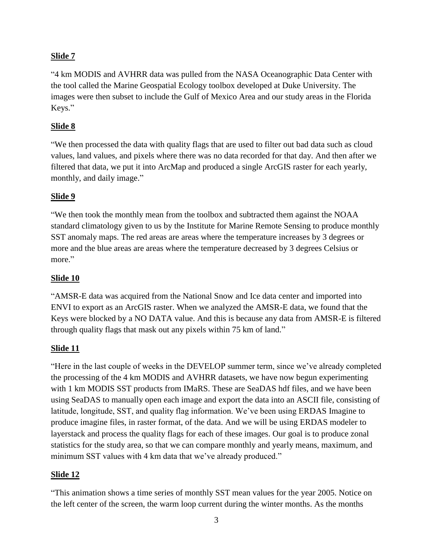# **Slide 7**

"4 km MODIS and AVHRR data was pulled from the NASA Oceanographic Data Center with the tool called the Marine Geospatial Ecology toolbox developed at Duke University. The images were then subset to include the Gulf of Mexico Area and our study areas in the Florida Keys."

## **Slide 8**

"We then processed the data with quality flags that are used to filter out bad data such as cloud values, land values, and pixels where there was no data recorded for that day. And then after we filtered that data, we put it into ArcMap and produced a single ArcGIS raster for each yearly, monthly, and daily image."

# **Slide 9**

"We then took the monthly mean from the toolbox and subtracted them against the NOAA standard climatology given to us by the Institute for Marine Remote Sensing to produce monthly SST anomaly maps. The red areas are areas where the temperature increases by 3 degrees or more and the blue areas are areas where the temperature decreased by 3 degrees Celsius or more."

# **Slide 10**

"AMSR-E data was acquired from the National Snow and Ice data center and imported into ENVI to export as an ArcGIS raster. When we analyzed the AMSR-E data, we found that the Keys were blocked by a NO DATA value. And this is because any data from AMSR-E is filtered through quality flags that mask out any pixels within 75 km of land."

## **Slide 11**

"Here in the last couple of weeks in the DEVELOP summer term, since we've already completed the processing of the 4 km MODIS and AVHRR datasets, we have now begun experimenting with 1 km MODIS SST products from IMaRS. These are SeaDAS hdf files, and we have been using SeaDAS to manually open each image and export the data into an ASCII file, consisting of latitude, longitude, SST, and quality flag information. We've been using ERDAS Imagine to produce imagine files, in raster format, of the data. And we will be using ERDAS modeler to layerstack and process the quality flags for each of these images. Our goal is to produce zonal statistics for the study area, so that we can compare monthly and yearly means, maximum, and minimum SST values with 4 km data that we've already produced."

## **Slide 12**

"This animation shows a time series of monthly SST mean values for the year 2005. Notice on the left center of the screen, the warm loop current during the winter months. As the months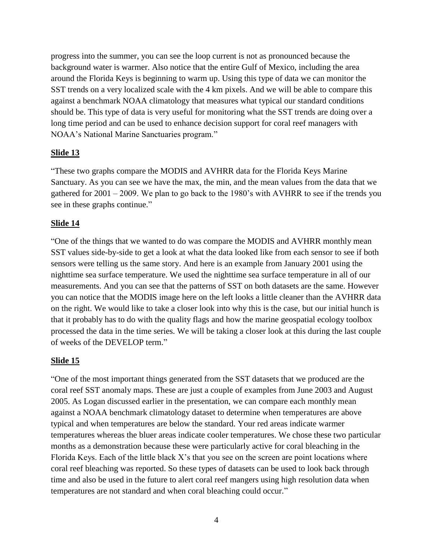progress into the summer, you can see the loop current is not as pronounced because the background water is warmer. Also notice that the entire Gulf of Mexico, including the area around the Florida Keys is beginning to warm up. Using this type of data we can monitor the SST trends on a very localized scale with the 4 km pixels. And we will be able to compare this against a benchmark NOAA climatology that measures what typical our standard conditions should be. This type of data is very useful for monitoring what the SST trends are doing over a long time period and can be used to enhance decision support for coral reef managers with NOAA's National Marine Sanctuaries program."

### **Slide 13**

"These two graphs compare the MODIS and AVHRR data for the Florida Keys Marine Sanctuary. As you can see we have the max, the min, and the mean values from the data that we gathered for 2001 – 2009. We plan to go back to the 1980's with AVHRR to see if the trends you see in these graphs continue."

### **Slide 14**

"One of the things that we wanted to do was compare the MODIS and AVHRR monthly mean SST values side-by-side to get a look at what the data looked like from each sensor to see if both sensors were telling us the same story. And here is an example from January 2001 using the nighttime sea surface temperature. We used the nighttime sea surface temperature in all of our measurements. And you can see that the patterns of SST on both datasets are the same. However you can notice that the MODIS image here on the left looks a little cleaner than the AVHRR data on the right. We would like to take a closer look into why this is the case, but our initial hunch is that it probably has to do with the quality flags and how the marine geospatial ecology toolbox processed the data in the time series. We will be taking a closer look at this during the last couple of weeks of the DEVELOP term."

#### **Slide 15**

"One of the most important things generated from the SST datasets that we produced are the coral reef SST anomaly maps. These are just a couple of examples from June 2003 and August 2005. As Logan discussed earlier in the presentation, we can compare each monthly mean against a NOAA benchmark climatology dataset to determine when temperatures are above typical and when temperatures are below the standard. Your red areas indicate warmer temperatures whereas the bluer areas indicate cooler temperatures. We chose these two particular months as a demonstration because these were particularly active for coral bleaching in the Florida Keys. Each of the little black X's that you see on the screen are point locations where coral reef bleaching was reported. So these types of datasets can be used to look back through time and also be used in the future to alert coral reef mangers using high resolution data when temperatures are not standard and when coral bleaching could occur."